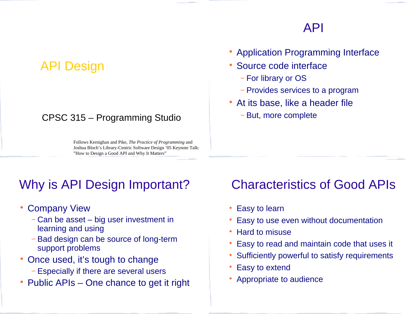#### API

## API Design

#### CPSC 315 – Programming Studio

Follows Kernighan and Pike, *The Practice of Programming* and Joshua Bloch's Library-Centric Software Design '05 Keynote Talk: "How to Design a Good API and Why It Matters"

# Why is API Design Important?

- Company View
	- − Can be asset big user investment in learning and using
	- − Bad design can be source of long-term support problems
- Once used, it's tough to change
	- − Especially if there are several users
- Public APIs One chance to get it right

#### • Application Programming Interface

- Source code interface
	- − For library or OS
	- − Provides services to a program
- At its base, like a header file
	- − But, more complete

#### Characteristics of Good APIs

- Easy to learn
- Easy to use even without documentation
- Hard to misuse
- Easy to read and maintain code that uses it
- Sufficiently powerful to satisfy requirements
- Easy to extend
- Appropriate to audience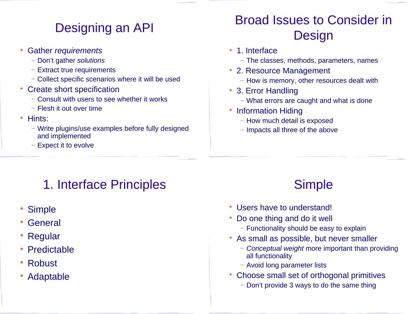# Designing an API

- Gather *requirements*
	- − Don't gather *solutions*
	- − Extract true requirements
	- − Collect specific scenarios where it will be used
- Create short specification
	- − Consult with users to see whether it works
	- − Flesh it out over time
- Hints:
	- − Write plugins/use examples before fully designed and implemented
	- Expect it to evolve

# Broad Issues to Consider in **Design**

- 1. Interface
	- − The classes, methods, parameters, names
- 2. Resource Management
	- − How is memory, other resources dealt with
- 3. Error Handling
	- − What errors are caught and what is done
- Information Hiding
	- − How much detail is exposed
	- − Impacts all three of the above

# 1. Interface Principles

- Simple
- General
- Regular
- Predictable
- Robust
- Adaptable

# **Simple**

- Users have to understand!
- Do one thing and do it well
	- − Functionality should be easy to explain
- As small as possible, but never smaller
	- − *Conceptual weight* more important than providing all functionality
	- − Avoid long parameter lists
- Choose small set of orthogonal primitives
	- − Don't provide 3 ways to do the same thing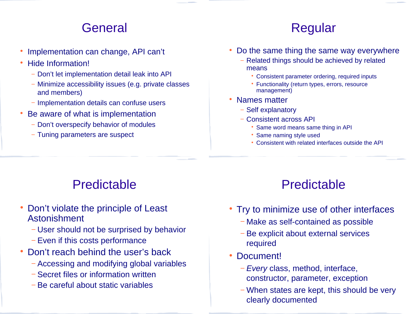### **General**

- Implementation can change, API can't
- Hide Information!
	- − Don't let implementation detail leak into API
	- − Minimize accessibility issues (e.g. private classes and members)
	- − Implementation details can confuse users
- Be aware of what is implementation
	- − Don't overspecify behavior of modules
	- − Tuning parameters are suspect

## Regular

- Do the same thing the same way everywhere
	- − Related things should be achieved by related means
		- Consistent parameter ordering, required inputs
		- Functionality (return types, errors, resource management)
- Names matter
	- − Self explanatory
	- − Consistent across API
		- Same word means same thing in API
		- Same naming style used
		- Consistent with related interfaces outside the API

## Predictable

- Don't violate the principle of Least Astonishment
	- − User should not be surprised by behavior
	- − Even if this costs performance
- Don't reach behind the user's back
	- − Accessing and modifying global variables
	- − Secret files or information written
	- − Be careful about static variables

#### Predictable

- Try to minimize use of other interfaces
	- − Make as self-contained as possible
	- − Be explicit about external services required
- Document!
	- − *Every* class, method, interface, constructor, parameter, exception
	- − When states are kept, this should be very clearly documented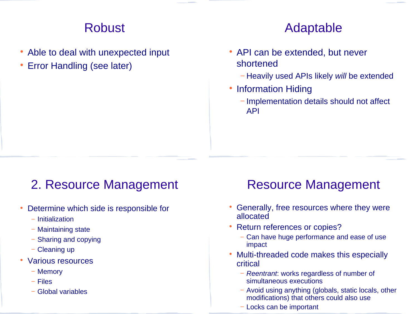### Robust

- Able to deal with unexpected input
- Error Handling (see later)

#### Adaptable

- API can be extended, but never shortened
	- − Heavily used APIs likely *will* be extended
- Information Hiding
	- − Implementation details should not affect API

## 2. Resource Management

- Determine which side is responsible for
	- − Initialization
	- − Maintaining state
	- − Sharing and copying
	- − Cleaning up
- Various resources
	- − Memory
	- − Files
	- − Global variables

## Resource Management

- Generally, free resources where they were allocated
- Return references or copies?
	- − Can have huge performance and ease of use impact
- Multi-threaded code makes this especially critical
	- − *Reentrant*: works regardless of number of simultaneous executions
	- − Avoid using anything (globals, static locals, other modifications) that others could also use
	- − Locks can be important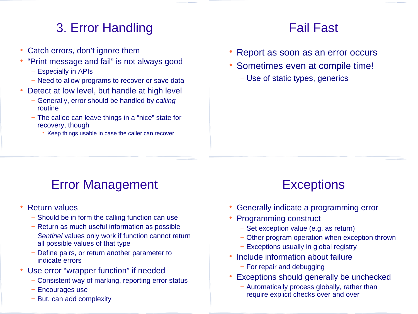# 3. Error Handling

- Catch errors, don't ignore them
- "Print message and fail" is not always good
	- − Especially in APIs
	- − Need to allow programs to recover or save data
- Detect at low level, but handle at high level
	- − Generally, error should be handled by *calling* routine
	- − The callee can leave things in a "nice" state for recovery, though
		- Keep things usable in case the caller can recover

#### Fail Fast

- Report as soon as an error occurs
- Sometimes even at compile time!
	- − Use of static types, generics

# Error Management

- Return values
	- − Should be in form the calling function can use
	- − Return as much useful information as possible
	- − *Sentinel* values only work if function cannot return all possible values of that type
	- Define pairs, or return another parameter to indicate errors
- Use error "wrapper function" if needed
	- − Consistent way of marking, reporting error status
	- − Encourages use
	- But, can add complexity

# **Exceptions**

- Generally indicate a programming error
- Programming construct
	- − Set exception value (e.g. as return)
	- − Other program operation when exception thrown
	- − Exceptions usually in global registry
- Include information about failure
	- − For repair and debugging
- Exceptions should generally be unchecked
	- − Automatically process globally, rather than require explicit checks over and over